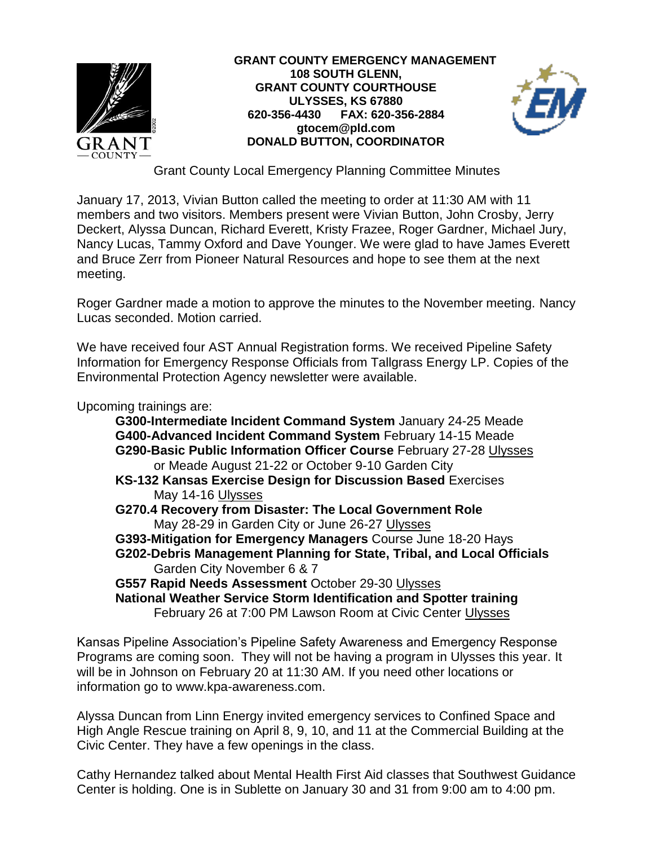

**GRANT COUNTY EMERGENCY MANAGEMENT 108 SOUTH GLENN, GRANT COUNTY COURTHOUSE ULYSSES, KS 67880 620-356-4430 FAX: 620-356-2884 gtocem@pld.com DONALD BUTTON, COORDINATOR**



Grant County Local Emergency Planning Committee Minutes

January 17, 2013, Vivian Button called the meeting to order at 11:30 AM with 11 members and two visitors. Members present were Vivian Button, John Crosby, Jerry Deckert, Alyssa Duncan, Richard Everett, Kristy Frazee, Roger Gardner, Michael Jury, Nancy Lucas, Tammy Oxford and Dave Younger. We were glad to have James Everett and Bruce Zerr from Pioneer Natural Resources and hope to see them at the next meeting.

Roger Gardner made a motion to approve the minutes to the November meeting. Nancy Lucas seconded. Motion carried.

We have received four AST Annual Registration forms. We received Pipeline Safety Information for Emergency Response Officials from Tallgrass Energy LP. Copies of the Environmental Protection Agency newsletter were available.

Upcoming trainings are:

**G300-Intermediate Incident Command System** January 24-25 Meade **G400-Advanced Incident Command System** February 14-15 Meade **G290-Basic Public Information Officer Course** February 27-28 Ulysses or Meade August 21-22 or October 9-10 Garden City

- **KS-132 Kansas Exercise Design for Discussion Based** Exercises May 14-16 Ulysses
- **G270.4 Recovery from Disaster: The Local Government Role** May 28-29 in Garden City or June 26-27 Ulysses

**G393-Mitigation for Emergency Managers** Course June 18-20 Hays **G202-Debris Management Planning for State, Tribal, and Local Officials** Garden City November 6 & 7

**G557 Rapid Needs Assessment** October 29-30 Ulysses **National Weather Service Storm Identification and Spotter training**  February 26 at 7:00 PM Lawson Room at Civic Center Ulysses

Kansas Pipeline Association's Pipeline Safety Awareness and Emergency Response Programs are coming soon. They will not be having a program in Ulysses this year. It will be in Johnson on February 20 at 11:30 AM. If you need other locations or information go to www.kpa-awareness.com.

Alyssa Duncan from Linn Energy invited emergency services to Confined Space and High Angle Rescue training on April 8, 9, 10, and 11 at the Commercial Building at the Civic Center. They have a few openings in the class.

Cathy Hernandez talked about Mental Health First Aid classes that Southwest Guidance Center is holding. One is in Sublette on January 30 and 31 from 9:00 am to 4:00 pm.